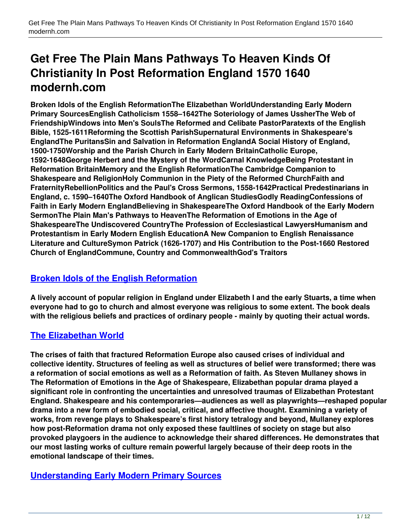# **Get Free The Plain Mans Pathways To Heaven Kinds Of Christianity In Post Reformation England 1570 1640 modernh.com**

**Broken Idols of the English ReformationThe Elizabethan WorldUnderstanding Early Modern Primary SourcesEnglish Catholicism 1558–1642The Soteriology of James UssherThe Web of FriendshipWindows into Men's SoulsThe Reformed and Celibate PastorParatexts of the English Bible, 1525-1611Reforming the Scottish ParishSupernatural Environments in Shakespeare's EnglandThe PuritansSin and Salvation in Reformation EnglandA Social History of England, 1500-1750Worship and the Parish Church in Early Modern BritainCatholic Europe, 1592-1648George Herbert and the Mystery of the WordCarnal KnowledgeBeing Protestant in Reformation BritainMemory and the English ReformationThe Cambridge Companion to Shakespeare and ReligionHoly Communion in the Piety of the Reformed ChurchFaith and FraternityRebellionPolitics and the Paul's Cross Sermons, 1558-1642Practical Predestinarians in England, c. 1590–1640The Oxford Handbook of Anglican StudiesGodly ReadingConfessions of Faith in Early Modern EnglandBelieving in ShakespeareThe Oxford Handbook of the Early Modern SermonThe Plain Man's Pathways to HeavenThe Reformation of Emotions in the Age of ShakespeareThe Undiscovered CountryThe Profession of Ecclesiastical LawyersHumanism and Protestantism in Early Modern English EducationA New Companion to English Renaissance Literature and CultureSymon Patrick (1626-1707) and His Contribution to the Post-1660 Restored Church of EnglandCommune, Country and CommonwealthGod's Traitors**

# **[Broken Idols of the English Reformation](http://modernh.com/the+plain+mans+pathways+to+heaven+kinds+of+christianity+in+post+reformation+england+1570+1640+pdf)**

**A lively account of popular religion in England under Elizabeth I and the early Stuarts, a time when everyone had to go to church and almost everyone was religious to some extent. The book deals with the religious beliefs and practices of ordinary people - mainly by quoting their actual words.**

# **[The Elizabethan World](http://modernh.com/the+plain+mans+pathways+to+heaven+kinds+of+christianity+in+post+reformation+england+1570+1640+pdf)**

**The crises of faith that fractured Reformation Europe also caused crises of individual and collective identity. Structures of feeling as well as structures of belief were transformed; there was a reformation of social emotions as well as a Reformation of faith. As Steven Mullaney shows in The Reformation of Emotions in the Age of Shakespeare, Elizabethan popular drama played a significant role in confronting the uncertainties and unresolved traumas of Elizabethan Protestant England. Shakespeare and his contemporaries—audiences as well as playwrights—reshaped popular drama into a new form of embodied social, critical, and affective thought. Examining a variety of works, from revenge plays to Shakespeare's first history tetralogy and beyond, Mullaney explores how post-Reformation drama not only exposed these faultlines of society on stage but also provoked playgoers in the audience to acknowledge their shared differences. He demonstrates that our most lasting works of culture remain powerful largely because of their deep roots in the emotional landscape of their times.**

#### **[Understanding Early Modern Primary Sources](http://modernh.com/the+plain+mans+pathways+to+heaven+kinds+of+christianity+in+post+reformation+england+1570+1640+pdf)**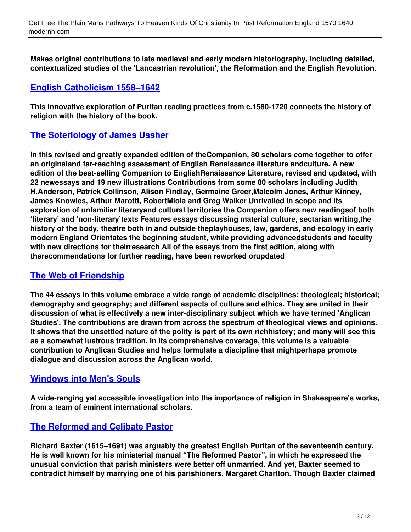**Makes original contributions to late medieval and early modern historiography, including detailed, contextualized studies of the 'Lancastrian revolution', the Reformation and the English Revolution.**

## **[English Catholicism 1558–1642](http://modernh.com/the+plain+mans+pathways+to+heaven+kinds+of+christianity+in+post+reformation+england+1570+1640+pdf)**

**This innovative exploration of Puritan reading practices from c.1580-1720 connects the history of religion with the history of the book.**

## **[The Soteriology of James Ussher](http://modernh.com/the+plain+mans+pathways+to+heaven+kinds+of+christianity+in+post+reformation+england+1570+1640+pdf)**

**In this revised and greatly expanded edition of theCompanion, 80 scholars come together to offer an originaland far-reaching assessment of English Renaissance literature andculture. A new edition of the best-selling Companion to EnglishRenaissance Literature, revised and updated, with 22 newessays and 19 new illustrations Contributions from some 80 scholars including Judith H.Anderson, Patrick Collinson, Alison Findlay, Germaine Greer,Malcolm Jones, Arthur Kinney, James Knowles, Arthur Marotti, RobertMiola and Greg Walker Unrivalled in scope and its exploration of unfamiliar literaryand cultural territories the Companion offers new readingsof both 'literary' and 'non-literary'texts Features essays discussing material culture, sectarian writing,the history of the body, theatre both in and outside theplayhouses, law, gardens, and ecology in early modern England Orientates the beginning student, while providing advancedstudents and faculty with new directions for theirresearch All of the essays from the first edition, along with therecommendations for further reading, have been reworked orupdated**

#### **[The Web of Friendship](http://modernh.com/the+plain+mans+pathways+to+heaven+kinds+of+christianity+in+post+reformation+england+1570+1640+pdf)**

**The 44 essays in this volume embrace a wide range of academic disciplines: theological; historical; demography and geography; and different aspects of culture and ethics. They are united in their discussion of what is effectively a new inter-disciplinary subject which we have termed 'Anglican Studies'. The contributions are drawn from across the spectrum of theological views and opinions. It shows that the unsettled nature of the polity is part of its own richhistory; and many will see this as a somewhat lustrous tradition. In its comprehensive coverage, this volume is a valuable contribution to Anglican Studies and helps formulate a discipline that mightperhaps promote dialogue and discussion across the Anglican world.**

#### **[Windows into Men's Souls](http://modernh.com/the+plain+mans+pathways+to+heaven+kinds+of+christianity+in+post+reformation+england+1570+1640+pdf)**

**A wide-ranging yet accessible investigation into the importance of religion in Shakespeare's works, from a team of eminent international scholars.**

#### **[The Reformed and Celibate Pastor](http://modernh.com/the+plain+mans+pathways+to+heaven+kinds+of+christianity+in+post+reformation+england+1570+1640+pdf)**

**Richard Baxter (1615–1691) was arguably the greatest English Puritan of the seventeenth century. He is well known for his ministerial manual "The Reformed Pastor", in which he expressed the unusual conviction that parish ministers were better off unmarried. And yet, Baxter seemed to contradict himself by marrying one of his parishioners, Margaret Charlton. Though Baxter claimed**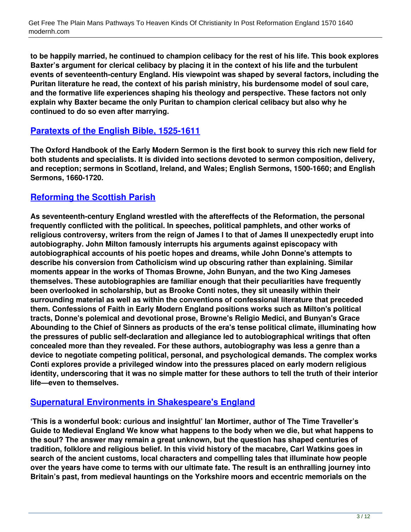**to be happily married, he continued to champion celibacy for the rest of his life. This book explores Baxter's argument for clerical celibacy by placing it in the context of his life and the turbulent events of seventeenth-century England. His viewpoint was shaped by several factors, including the Puritan literature he read, the context of his parish ministry, his burdensome model of soul care, and the formative life experiences shaping his theology and perspective. These factors not only explain why Baxter became the only Puritan to champion clerical celibacy but also why he continued to do so even after marrying.**

#### **[Paratexts of the English Bible, 1525-1611](http://modernh.com/the+plain+mans+pathways+to+heaven+kinds+of+christianity+in+post+reformation+england+1570+1640+pdf)**

**The Oxford Handbook of the Early Modern Sermon is the first book to survey this rich new field for both students and specialists. It is divided into sections devoted to sermon composition, delivery, and reception; sermons in Scotland, Ireland, and Wales; English Sermons, 1500-1660; and English Sermons, 1660-1720.**

## **[Reforming the Scottish Parish](http://modernh.com/the+plain+mans+pathways+to+heaven+kinds+of+christianity+in+post+reformation+england+1570+1640+pdf)**

**As seventeenth-century England wrestled with the aftereffects of the Reformation, the personal frequently conflicted with the political. In speeches, political pamphlets, and other works of religious controversy, writers from the reign of James I to that of James II unexpectedly erupt into autobiography. John Milton famously interrupts his arguments against episcopacy with autobiographical accounts of his poetic hopes and dreams, while John Donne's attempts to describe his conversion from Catholicism wind up obscuring rather than explaining. Similar moments appear in the works of Thomas Browne, John Bunyan, and the two King Jameses themselves. These autobiographies are familiar enough that their peculiarities have frequently been overlooked in scholarship, but as Brooke Conti notes, they sit uneasily within their surrounding material as well as within the conventions of confessional literature that preceded them. Confessions of Faith in Early Modern England positions works such as Milton's political tracts, Donne's polemical and devotional prose, Browne's Religio Medici, and Bunyan's Grace Abounding to the Chief of Sinners as products of the era's tense political climate, illuminating how the pressures of public self-declaration and allegiance led to autobiographical writings that often concealed more than they revealed. For these authors, autobiography was less a genre than a device to negotiate competing political, personal, and psychological demands. The complex works Conti explores provide a privileged window into the pressures placed on early modern religious identity, underscoring that it was no simple matter for these authors to tell the truth of their interior life—even to themselves.**

#### **[Supernatural Environments in Shakespeare's England](http://modernh.com/the+plain+mans+pathways+to+heaven+kinds+of+christianity+in+post+reformation+england+1570+1640+pdf)**

**'This is a wonderful book: curious and insightful' Ian Mortimer, author of The Time Traveller's Guide to Medieval England We know what happens to the body when we die, but what happens to the soul? The answer may remain a great unknown, but the question has shaped centuries of tradition, folklore and religious belief. In this vivid history of the macabre, Carl Watkins goes in search of the ancient customs, local characters and compelling tales that illuminate how people over the years have come to terms with our ultimate fate. The result is an enthralling journey into Britain's past, from medieval hauntings on the Yorkshire moors and eccentric memorials on the**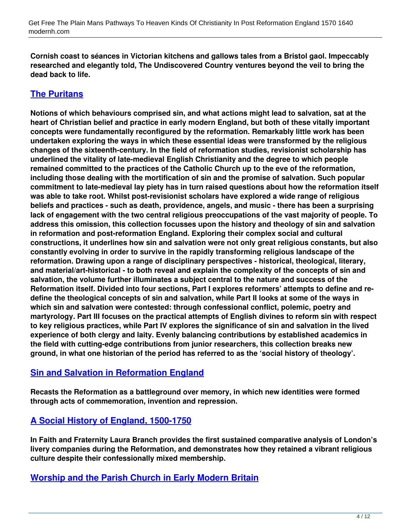**Cornish coast to séances in Victorian kitchens and gallows tales from a Bristol gaol. Impeccably researched and elegantly told, The Undiscovered Country ventures beyond the veil to bring the dead back to life.**

# **[The Puritans](http://modernh.com/the+plain+mans+pathways+to+heaven+kinds+of+christianity+in+post+reformation+england+1570+1640+pdf)**

**Notions of which behaviours comprised sin, and what actions might lead to salvation, sat at the heart of Christian belief and practice in early modern England, but both of these vitally important concepts were fundamentally reconfigured by the reformation. Remarkably little work has been undertaken exploring the ways in which these essential ideas were transformed by the religious changes of the sixteenth-century. In the field of reformation studies, revisionist scholarship has underlined the vitality of late-medieval English Christianity and the degree to which people remained committed to the practices of the Catholic Church up to the eve of the reformation, including those dealing with the mortification of sin and the promise of salvation. Such popular commitment to late-medieval lay piety has in turn raised questions about how the reformation itself was able to take root. Whilst post-revisionist scholars have explored a wide range of religious beliefs and practices - such as death, providence, angels, and music - there has been a surprising lack of engagement with the two central religious preoccupations of the vast majority of people. To address this omission, this collection focusses upon the history and theology of sin and salvation in reformation and post-reformation England. Exploring their complex social and cultural constructions, it underlines how sin and salvation were not only great religious constants, but also constantly evolving in order to survive in the rapidly transforming religious landscape of the reformation. Drawing upon a range of disciplinary perspectives - historical, theological, literary, and material/art-historical - to both reveal and explain the complexity of the concepts of sin and salvation, the volume further illuminates a subject central to the nature and success of the Reformation itself. Divided into four sections, Part I explores reformers' attempts to define and redefine the theological concepts of sin and salvation, while Part II looks at some of the ways in which sin and salvation were contested: through confessional conflict, polemic, poetry and martyrology. Part III focuses on the practical attempts of English divines to reform sin with respect to key religious practices, while Part IV explores the significance of sin and salvation in the lived experience of both clergy and laity. Evenly balancing contributions by established academics in the field with cutting-edge contributions from junior researchers, this collection breaks new ground, in what one historian of the period has referred to as the 'social history of theology'.**

#### **[Sin and Salvation in Reformation England](http://modernh.com/the+plain+mans+pathways+to+heaven+kinds+of+christianity+in+post+reformation+england+1570+1640+pdf)**

**Recasts the Reformation as a battleground over memory, in which new identities were formed through acts of commemoration, invention and repression.**

# **[A Social History of England, 1500-1750](http://modernh.com/the+plain+mans+pathways+to+heaven+kinds+of+christianity+in+post+reformation+england+1570+1640+pdf)**

**In Faith and Fraternity Laura Branch provides the first sustained comparative analysis of London's livery companies during the Reformation, and demonstrates how they retained a vibrant religious culture despite their confessionally mixed membership.**

#### **[Worship and the Parish Church in Early Modern Britain](http://modernh.com/the+plain+mans+pathways+to+heaven+kinds+of+christianity+in+post+reformation+england+1570+1640+pdf)**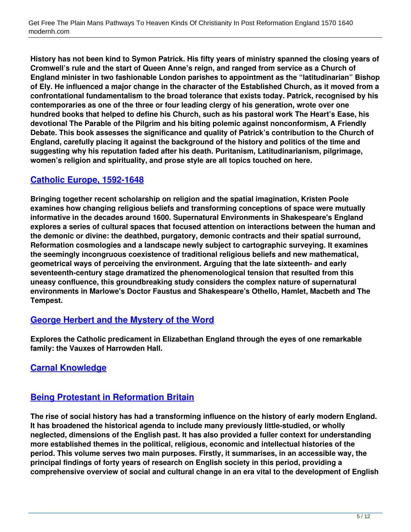**History has not been kind to Symon Patrick. His fifty years of ministry spanned the closing years of Cromwell's rule and the start of Queen Anne's reign, and ranged from service as a Church of England minister in two fashionable London parishes to appointment as the "latitudinarian" Bishop of Ely. He influenced a major change in the character of the Established Church, as it moved from a confrontational fundamentalism to the broad tolerance that exists today. Patrick, recognised by his contemporaries as one of the three or four leading clergy of his generation, wrote over one hundred books that helped to define his Church, such as his pastoral work The Heart's Ease, his devotional The Parable of the Pilgrim and his biting polemic against nonconformism, A Friendly Debate. This book assesses the significance and quality of Patrick's contribution to the Church of England, carefully placing it against the background of the history and politics of the time and suggesting why his reputation faded after his death. Puritanism, Latitudinarianism, pilgrimage, women's religion and spirituality, and prose style are all topics touched on here.**

## **[Catholic Europe, 1592-1648](http://modernh.com/the+plain+mans+pathways+to+heaven+kinds+of+christianity+in+post+reformation+england+1570+1640+pdf)**

**Bringing together recent scholarship on religion and the spatial imagination, Kristen Poole examines how changing religious beliefs and transforming conceptions of space were mutually informative in the decades around 1600. Supernatural Environments in Shakespeare's England explores a series of cultural spaces that focused attention on interactions between the human and the demonic or divine: the deathbed, purgatory, demonic contracts and their spatial surround, Reformation cosmologies and a landscape newly subject to cartographic surveying. It examines the seemingly incongruous coexistence of traditional religious beliefs and new mathematical, geometrical ways of perceiving the environment. Arguing that the late sixteenth- and early seventeenth-century stage dramatized the phenomenological tension that resulted from this uneasy confluence, this groundbreaking study considers the complex nature of supernatural environments in Marlowe's Doctor Faustus and Shakespeare's Othello, Hamlet, Macbeth and The Tempest.**

#### **[George Herbert and the Mystery of the Word](http://modernh.com/the+plain+mans+pathways+to+heaven+kinds+of+christianity+in+post+reformation+england+1570+1640+pdf)**

**Explores the Catholic predicament in Elizabethan England through the eyes of one remarkable family: the Vauxes of Harrowden Hall.**

#### **[Carnal Knowledge](http://modernh.com/the+plain+mans+pathways+to+heaven+kinds+of+christianity+in+post+reformation+england+1570+1640+pdf)**

#### **[Being Protestant in Reformation Britain](http://modernh.com/the+plain+mans+pathways+to+heaven+kinds+of+christianity+in+post+reformation+england+1570+1640+pdf)**

**The rise of social history has had a transforming influence on the history of early modern England. It has broadened the historical agenda to include many previously little-studied, or wholly neglected, dimensions of the English past. It has also provided a fuller context for understanding more established themes in the political, religious, economic and intellectual histories of the period. This volume serves two main purposes. Firstly, it summarises, in an accessible way, the principal findings of forty years of research on English society in this period, providing a comprehensive overview of social and cultural change in an era vital to the development of English**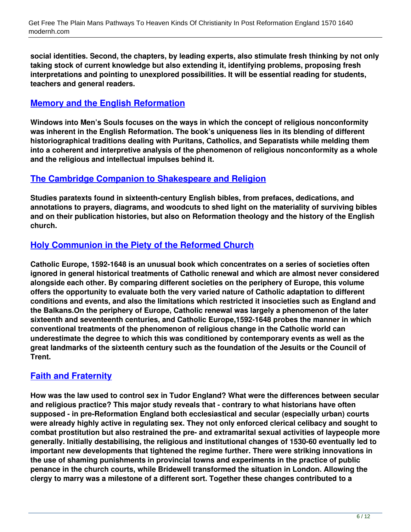**social identities. Second, the chapters, by leading experts, also stimulate fresh thinking by not only taking stock of current knowledge but also extending it, identifying problems, proposing fresh interpretations and pointing to unexplored possibilities. It will be essential reading for students, teachers and general readers.**

### **[Memory and the English Reformation](http://modernh.com/the+plain+mans+pathways+to+heaven+kinds+of+christianity+in+post+reformation+england+1570+1640+pdf)**

**Windows into Men's Souls focuses on the ways in which the concept of religious nonconformity was inherent in the English Reformation. The book's uniqueness lies in its blending of different historiographical traditions dealing with Puritans, Catholics, and Separatists while melding them into a coherent and interpretive analysis of the phenomenon of religious nonconformity as a whole and the religious and intellectual impulses behind it.**

#### **[The Cambridge Companion to Shakespeare and Religion](http://modernh.com/the+plain+mans+pathways+to+heaven+kinds+of+christianity+in+post+reformation+england+1570+1640+pdf)**

**Studies paratexts found in sixteenth-century English bibles, from prefaces, dedications, and annotations to prayers, diagrams, and woodcuts to shed light on the materiality of surviving bibles and on their publication histories, but also on Reformation theology and the history of the English church.**

#### **[Holy Communion in the Piety of the Reformed Church](http://modernh.com/the+plain+mans+pathways+to+heaven+kinds+of+christianity+in+post+reformation+england+1570+1640+pdf)**

**Catholic Europe, 1592-1648 is an unusual book which concentrates on a series of societies often ignored in general historical treatments of Catholic renewal and which are almost never considered alongside each other. By comparing different societies on the periphery of Europe, this volume offers the opportunity to evaluate both the very varied nature of Catholic adaptation to different conditions and events, and also the limitations which restricted it insocieties such as England and the Balkans.On the periphery of Europe, Catholic renewal was largely a phenomenon of the later sixteenth and seventeenth centuries, and Catholic Europe,1592-1648 probes the manner in which conventional treatments of the phenomenon of religious change in the Catholic world can underestimate the degree to which this was conditioned by contemporary events as well as the great landmarks of the sixteenth century such as the foundation of the Jesuits or the Council of Trent.**

#### **[Faith and Fraternity](http://modernh.com/the+plain+mans+pathways+to+heaven+kinds+of+christianity+in+post+reformation+england+1570+1640+pdf)**

**How was the law used to control sex in Tudor England? What were the differences between secular and religious practice? This major study reveals that - contrary to what historians have often supposed - in pre-Reformation England both ecclesiastical and secular (especially urban) courts were already highly active in regulating sex. They not only enforced clerical celibacy and sought to combat prostitution but also restrained the pre- and extramarital sexual activities of laypeople more generally. Initially destabilising, the religious and institutional changes of 1530-60 eventually led to important new developments that tightened the regime further. There were striking innovations in the use of shaming punishments in provincial towns and experiments in the practice of public penance in the church courts, while Bridewell transformed the situation in London. Allowing the clergy to marry was a milestone of a different sort. Together these changes contributed to a**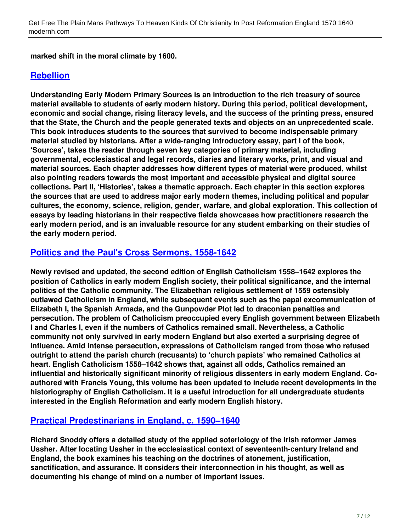**marked shift in the moral climate by 1600.**

### **[Rebellion](http://modernh.com/the+plain+mans+pathways+to+heaven+kinds+of+christianity+in+post+reformation+england+1570+1640+pdf)**

**Understanding Early Modern Primary Sources is an introduction to the rich treasury of source material available to students of early modern history. During this period, political development, economic and social change, rising literacy levels, and the success of the printing press, ensured that the State, the Church and the people generated texts and objects on an unprecedented scale. This book introduces students to the sources that survived to become indispensable primary material studied by historians. After a wide-ranging introductory essay, part I of the book, 'Sources', takes the reader through seven key categories of primary material, including governmental, ecclesiastical and legal records, diaries and literary works, print, and visual and material sources. Each chapter addresses how different types of material were produced, whilst also pointing readers towards the most important and accessible physical and digital source collections. Part II, 'Histories', takes a thematic approach. Each chapter in this section explores the sources that are used to address major early modern themes, including political and popular cultures, the economy, science, religion, gender, warfare, and global exploration. This collection of essays by leading historians in their respective fields showcases how practitioners research the early modern period, and is an invaluable resource for any student embarking on their studies of the early modern period.**

#### **[Politics and the Paul's Cross Sermons, 1558-1642](http://modernh.com/the+plain+mans+pathways+to+heaven+kinds+of+christianity+in+post+reformation+england+1570+1640+pdf)**

**Newly revised and updated, the second edition of English Catholicism 1558–1642 explores the position of Catholics in early modern English society, their political significance, and the internal politics of the Catholic community. The Elizabethan religious settlement of 1559 ostensibly outlawed Catholicism in England, while subsequent events such as the papal excommunication of Elizabeth I, the Spanish Armada, and the Gunpowder Plot led to draconian penalties and persecution. The problem of Catholicism preoccupied every English government between Elizabeth I and Charles I, even if the numbers of Catholics remained small. Nevertheless, a Catholic community not only survived in early modern England but also exerted a surprising degree of influence. Amid intense persecution, expressions of Catholicism ranged from those who refused outright to attend the parish church (recusants) to 'church papists' who remained Catholics at heart. English Catholicism 1558–1642 shows that, against all odds, Catholics remained an influential and historically significant minority of religious dissenters in early modern England. Coauthored with Francis Young, this volume has been updated to include recent developments in the historiography of English Catholicism. It is a useful introduction for all undergraduate students interested in the English Reformation and early modern English history.**

# **[Practical Predestinarians in England, c. 1590–1640](http://modernh.com/the+plain+mans+pathways+to+heaven+kinds+of+christianity+in+post+reformation+england+1570+1640+pdf)**

**Richard Snoddy offers a detailed study of the applied soteriology of the Irish reformer James Ussher. After locating Ussher in the ecclesiastical context of seventeenth-century Ireland and England, the book examines his teaching on the doctrines of atonement, justification, sanctification, and assurance. It considers their interconnection in his thought, as well as documenting his change of mind on a number of important issues.**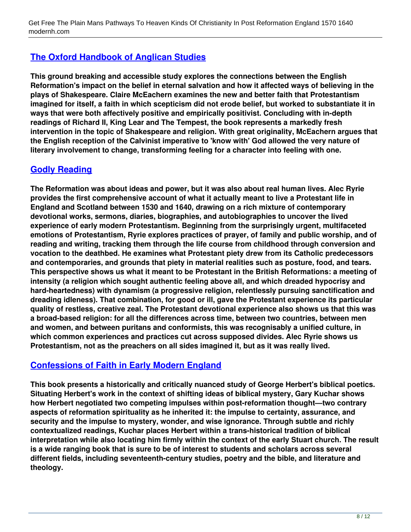# **[The Oxford Handbook of Anglican Studies](http://modernh.com/the+plain+mans+pathways+to+heaven+kinds+of+christianity+in+post+reformation+england+1570+1640+pdf)**

**This ground breaking and accessible study explores the connections between the English Reformation's impact on the belief in eternal salvation and how it affected ways of believing in the plays of Shakespeare. Claire McEachern examines the new and better faith that Protestantism imagined for itself, a faith in which scepticism did not erode belief, but worked to substantiate it in ways that were both affectively positive and empirically positivist. Concluding with in-depth readings of Richard II, King Lear and The Tempest, the book represents a markedly fresh intervention in the topic of Shakespeare and religion. With great originality, McEachern argues that the English reception of the Calvinist imperative to 'know with' God allowed the very nature of literary involvement to change, transforming feeling for a character into feeling with one.**

## **[Godly Reading](http://modernh.com/the+plain+mans+pathways+to+heaven+kinds+of+christianity+in+post+reformation+england+1570+1640+pdf)**

**The Reformation was about ideas and power, but it was also about real human lives. Alec Ryrie provides the first comprehensive account of what it actually meant to live a Protestant life in England and Scotland between 1530 and 1640, drawing on a rich mixture of contemporary devotional works, sermons, diaries, biographies, and autobiographies to uncover the lived experience of early modern Protestantism. Beginning from the surprisingly urgent, multifaceted emotions of Protestantism, Ryrie explores practices of prayer, of family and public worship, and of reading and writing, tracking them through the life course from childhood through conversion and vocation to the deathbed. He examines what Protestant piety drew from its Catholic predecessors and contemporaries, and grounds that piety in material realities such as posture, food, and tears. This perspective shows us what it meant to be Protestant in the British Reformations: a meeting of intensity (a religion which sought authentic feeling above all, and which dreaded hypocrisy and hard-heartedness) with dynamism (a progressive religion, relentlessly pursuing sanctification and dreading idleness). That combination, for good or ill, gave the Protestant experience its particular quality of restless, creative zeal. The Protestant devotional experience also shows us that this was a broad-based religion: for all the differences across time, between two countries, between men and women, and between puritans and conformists, this was recognisably a unified culture, in which common experiences and practices cut across supposed divides. Alec Ryrie shows us Protestantism, not as the preachers on all sides imagined it, but as it was really lived.**

# **[Confessions of Faith in Early Modern England](http://modernh.com/the+plain+mans+pathways+to+heaven+kinds+of+christianity+in+post+reformation+england+1570+1640+pdf)**

**This book presents a historically and critically nuanced study of George Herbert's biblical poetics. Situating Herbert's work in the context of shifting ideas of biblical mystery, Gary Kuchar shows how Herbert negotiated two competing impulses within post-reformation thought—two contrary aspects of reformation spirituality as he inherited it: the impulse to certainty, assurance, and security and the impulse to mystery, wonder, and wise ignorance. Through subtle and richly contextualized readings, Kuchar places Herbert within a trans-historical tradition of biblical interpretation while also locating him firmly within the context of the early Stuart church. The result is a wide ranging book that is sure to be of interest to students and scholars across several different fields, including seventeenth-century studies, poetry and the bible, and literature and theology.**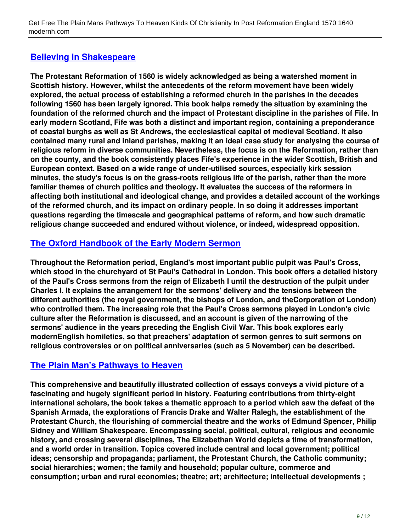# **[Believing in Shakespeare](http://modernh.com/the+plain+mans+pathways+to+heaven+kinds+of+christianity+in+post+reformation+england+1570+1640+pdf)**

**The Protestant Reformation of 1560 is widely acknowledged as being a watershed moment in Scottish history. However, whilst the antecedents of the reform movement have been widely explored, the actual process of establishing a reformed church in the parishes in the decades following 1560 has been largely ignored. This book helps remedy the situation by examining the foundation of the reformed church and the impact of Protestant discipline in the parishes of Fife. In early modern Scotland, Fife was both a distinct and important region, containing a preponderance of coastal burghs as well as St Andrews, the ecclesiastical capital of medieval Scotland. It also contained many rural and inland parishes, making it an ideal case study for analysing the course of religious reform in diverse communities. Nevertheless, the focus is on the Reformation, rather than on the county, and the book consistently places Fife's experience in the wider Scottish, British and European context. Based on a wide range of under-utilised sources, especially kirk session minutes, the study's focus is on the grass-roots religious life of the parish, rather than the more familiar themes of church politics and theology. It evaluates the success of the reformers in affecting both institutional and ideological change, and provides a detailed account of the workings of the reformed church, and its impact on ordinary people. In so doing it addresses important questions regarding the timescale and geographical patterns of reform, and how such dramatic religious change succeeded and endured without violence, or indeed, widespread opposition.**

# **[The Oxford Handbook of the Early Modern Sermon](http://modernh.com/the+plain+mans+pathways+to+heaven+kinds+of+christianity+in+post+reformation+england+1570+1640+pdf)**

**Throughout the Reformation period, England's most important public pulpit was Paul's Cross, which stood in the churchyard of St Paul's Cathedral in London. This book offers a detailed history of the Paul's Cross sermons from the reign of Elizabeth I until the destruction of the pulpit under Charles I. It explains the arrangement for the sermons' delivery and the tensions between the different authorities (the royal government, the bishops of London, and theCorporation of London) who controlled them. The increasing role that the Paul's Cross sermons played in London's civic culture after the Reformation is discussed, and an account is given of the narrowing of the sermons' audience in the years preceding the English Civil War. This book explores early modernEnglish homiletics, so that preachers' adaptation of sermon genres to suit sermons on religious controversies or on political anniversaries (such as 5 November) can be described.**

# **[The Plain Man's Pathways to Heaven](http://modernh.com/the+plain+mans+pathways+to+heaven+kinds+of+christianity+in+post+reformation+england+1570+1640+pdf)**

**This comprehensive and beautifully illustrated collection of essays conveys a vivid picture of a fascinating and hugely significant period in history. Featuring contributions from thirty-eight international scholars, the book takes a thematic approach to a period which saw the defeat of the Spanish Armada, the explorations of Francis Drake and Walter Ralegh, the establishment of the Protestant Church, the flourishing of commercial theatre and the works of Edmund Spencer, Philip Sidney and William Shakespeare. Encompassing social, political, cultural, religious and economic history, and crossing several disciplines, The Elizabethan World depicts a time of transformation, and a world order in transition. Topics covered include central and local government; political ideas; censorship and propaganda; parliament, the Protestant Church, the Catholic community; social hierarchies; women; the family and household; popular culture, commerce and consumption; urban and rural economies; theatre; art; architecture; intellectual developments ;**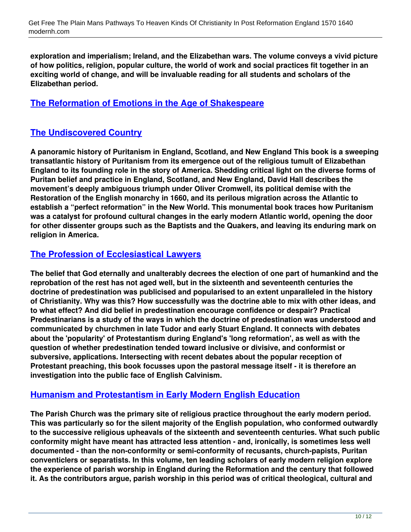**exploration and imperialism; Ireland, and the Elizabethan wars. The volume conveys a vivid picture of how politics, religion, popular culture, the world of work and social practices fit together in an exciting world of change, and will be invaluable reading for all students and scholars of the Elizabethan period.**

#### **[The Reformation of Emotions in the Age of Shakespeare](http://modernh.com/the+plain+mans+pathways+to+heaven+kinds+of+christianity+in+post+reformation+england+1570+1640+pdf)**

### **[The Undiscovered Country](http://modernh.com/the+plain+mans+pathways+to+heaven+kinds+of+christianity+in+post+reformation+england+1570+1640+pdf)**

**A panoramic history of Puritanism in England, Scotland, and New England This book is a sweeping transatlantic history of Puritanism from its emergence out of the religious tumult of Elizabethan England to its founding role in the story of America. Shedding critical light on the diverse forms of Puritan belief and practice in England, Scotland, and New England, David Hall describes the movement's deeply ambiguous triumph under Oliver Cromwell, its political demise with the Restoration of the English monarchy in 1660, and its perilous migration across the Atlantic to establish a "perfect reformation" in the New World. This monumental book traces how Puritanism was a catalyst for profound cultural changes in the early modern Atlantic world, opening the door for other dissenter groups such as the Baptists and the Quakers, and leaving its enduring mark on religion in America.**

#### **[The Profession of Ecclesiastical Lawyers](http://modernh.com/the+plain+mans+pathways+to+heaven+kinds+of+christianity+in+post+reformation+england+1570+1640+pdf)**

**The belief that God eternally and unalterably decrees the election of one part of humankind and the reprobation of the rest has not aged well, but in the sixteenth and seventeenth centuries the doctrine of predestination was publicised and popularised to an extent unparalleled in the history of Christianity. Why was this? How successfully was the doctrine able to mix with other ideas, and to what effect? And did belief in predestination encourage confidence or despair? Practical Predestinarians is a study of the ways in which the doctrine of predestination was understood and communicated by churchmen in late Tudor and early Stuart England. It connects with debates about the 'popularity' of Protestantism during England's 'long reformation', as well as with the question of whether predestination tended toward inclusive or divisive, and conformist or subversive, applications. Intersecting with recent debates about the popular reception of Protestant preaching, this book focusses upon the pastoral message itself - it is therefore an investigation into the public face of English Calvinism.**

#### **[Humanism and Protestantism in Early Modern English Education](http://modernh.com/the+plain+mans+pathways+to+heaven+kinds+of+christianity+in+post+reformation+england+1570+1640+pdf)**

**The Parish Church was the primary site of religious practice throughout the early modern period. This was particularly so for the silent majority of the English population, who conformed outwardly to the successive religious upheavals of the sixteenth and seventeenth centuries. What such public conformity might have meant has attracted less attention - and, ironically, is sometimes less well documented - than the non-conformity or semi-conformity of recusants, church-papists, Puritan conventiclers or separatists. In this volume, ten leading scholars of early modern religion explore the experience of parish worship in England during the Reformation and the century that followed it. As the contributors argue, parish worship in this period was of critical theological, cultural and**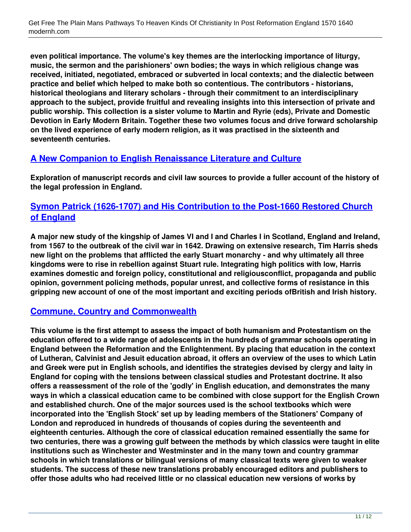**even political importance. The volume's key themes are the interlocking importance of liturgy, music, the sermon and the parishioners' own bodies; the ways in which religious change was received, initiated, negotiated, embraced or subverted in local contexts; and the dialectic between practice and belief which helped to make both so contentious. The contributors - historians, historical theologians and literary scholars - through their commitment to an interdisciplinary approach to the subject, provide fruitful and revealing insights into this intersection of private and public worship. This collection is a sister volume to Martin and Ryrie (eds), Private and Domestic Devotion in Early Modern Britain. Together these two volumes focus and drive forward scholarship on the lived experience of early modern religion, as it was practised in the sixteenth and seventeenth centuries.**

#### **[A New Companion to English Renaissance Literature and Culture](http://modernh.com/the+plain+mans+pathways+to+heaven+kinds+of+christianity+in+post+reformation+england+1570+1640+pdf)**

**Exploration of manuscript records and civil law sources to provide a fuller account of the history of the legal profession in England.**

## **[Symon Patrick \(1626-1707\) and His Contribution to the Post-1660 Restored Church](http://modernh.com/the+plain+mans+pathways+to+heaven+kinds+of+christianity+in+post+reformation+england+1570+1640+pdf) [of England](http://modernh.com/the+plain+mans+pathways+to+heaven+kinds+of+christianity+in+post+reformation+england+1570+1640+pdf)**

**A major new study of the kingship of James VI and I and Charles I in Scotland, England and Ireland, from 1567 to the outbreak of the civil war in 1642. Drawing on extensive research, Tim Harris sheds new light on the problems that afflicted the early Stuart monarchy - and why ultimately all three kingdoms were to rise in rebellion against Stuart rule. Integrating high politics with low, Harris examines domestic and foreign policy, constitutional and religiousconflict, propaganda and public opinion, government policing methods, popular unrest, and collective forms of resistance in this gripping new account of one of the most important and exciting periods ofBritish and Irish history.**

#### **[Commune, Country and Commonwealth](http://modernh.com/the+plain+mans+pathways+to+heaven+kinds+of+christianity+in+post+reformation+england+1570+1640+pdf)**

**This volume is the first attempt to assess the impact of both humanism and Protestantism on the education offered to a wide range of adolescents in the hundreds of grammar schools operating in England between the Reformation and the Enlightenment. By placing that education in the context of Lutheran, Calvinist and Jesuit education abroad, it offers an overview of the uses to which Latin and Greek were put in English schools, and identifies the strategies devised by clergy and laity in England for coping with the tensions between classical studies and Protestant doctrine. It also offers a reassessment of the role of the 'godly' in English education, and demonstrates the many ways in which a classical education came to be combined with close support for the English Crown and established church. One of the major sources used is the school textbooks which were incorporated into the 'English Stock' set up by leading members of the Stationers' Company of London and reproduced in hundreds of thousands of copies during the seventeenth and eighteenth centuries. Although the core of classical education remained essentially the same for two centuries, there was a growing gulf between the methods by which classics were taught in elite institutions such as Winchester and Westminster and in the many town and country grammar schools in which translations or bilingual versions of many classical texts were given to weaker students. The success of these new translations probably encouraged editors and publishers to offer those adults who had received little or no classical education new versions of works by**